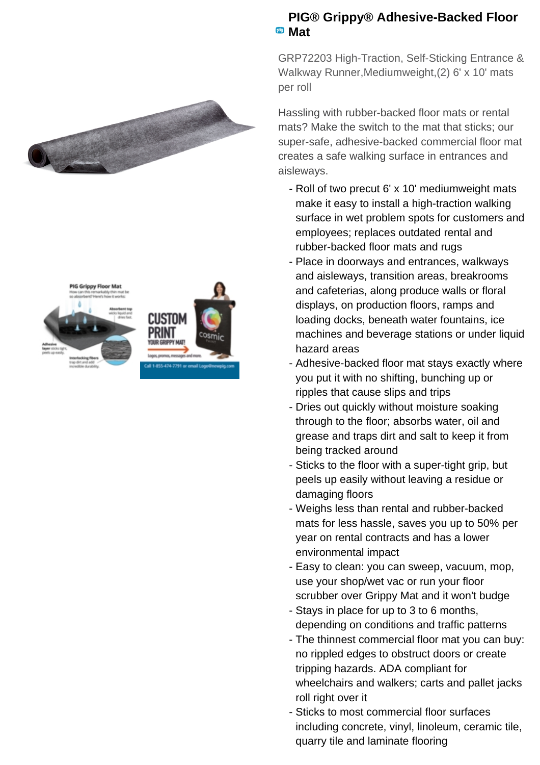



## **PIG® Grippy® Adhesive-Backed Floor Mat**

GRP72203 High-Traction, Self-Sticking Entrance & Walkway Runner,Mediumweight,(2) 6' x 10' mats per roll

Hassling with rubber-backed floor mats or rental mats? Make the switch to the mat that sticks; our super-safe, adhesive-backed commercial floor mat creates a safe walking surface in entrances and aisleways.

- Roll of two precut 6' x 10' mediumweight mats make it easy to install a high-traction walking surface in wet problem spots for customers and employees; replaces outdated rental and rubber-backed floor mats and rugs
- Place in doorways and entrances, walkways and aisleways, transition areas, breakrooms and cafeterias, along produce walls or floral displays, on production floors, ramps and loading docks, beneath water fountains, ice machines and beverage stations or under liquid hazard areas
- Adhesive-backed floor mat stays exactly where you put it with no shifting, bunching up or ripples that cause slips and trips
- Dries out quickly without moisture soaking through to the floor; absorbs water, oil and grease and traps dirt and salt to keep it from being tracked around
- Sticks to the floor with a super-tight grip, but peels up easily without leaving a residue or damaging floors
- Weighs less than rental and rubber-backed mats for less hassle, saves you up to 50% per year on rental contracts and has a lower environmental impact
- Easy to clean: you can sweep, vacuum, mop, use your shop/wet vac or run your floor scrubber over Grippy Mat and it won't budge
- Stays in place for up to 3 to 6 months, depending on conditions and traffic patterns
- The thinnest commercial floor mat you can buy: no rippled edges to obstruct doors or create tripping hazards. ADA compliant for wheelchairs and walkers; carts and pallet jacks roll right over it
- Sticks to most commercial floor surfaces including concrete, vinyl, linoleum, ceramic tile, quarry tile and laminate flooring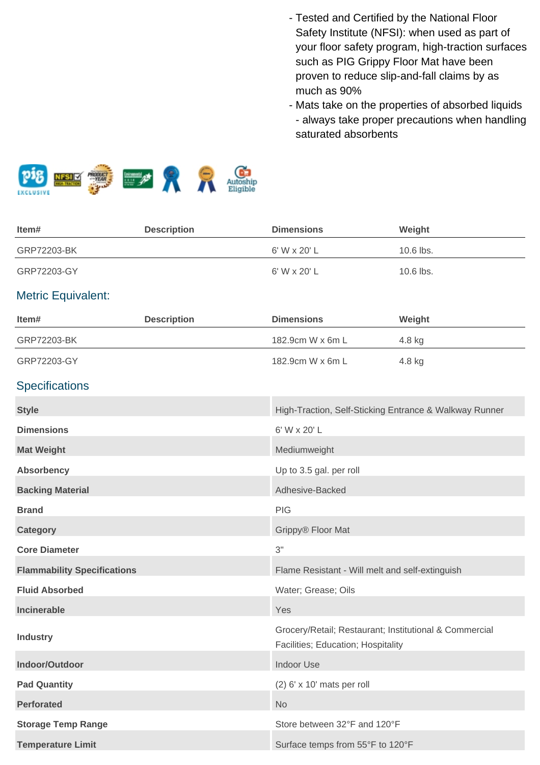- Tested and Certified by the National Floor Safety Institute (NFSI): when used as part of your floor safety program, high-traction surfaces such as PIG Grippy Floor Mat have been proven to reduce slip-and-fall claims by as much as 90%
- Mats take on the properties of absorbed liquids - always take proper precautions when handling saturated absorbents



| Item#                              | <b>Description</b> | <b>Dimensions</b>                                                                            | Weight    |
|------------------------------------|--------------------|----------------------------------------------------------------------------------------------|-----------|
| GRP72203-BK                        |                    | 6' W x 20' L                                                                                 | 10.6 lbs. |
| GRP72203-GY                        |                    | 6' W x 20' L                                                                                 | 10.6 lbs. |
| <b>Metric Equivalent:</b>          |                    |                                                                                              |           |
| Item#                              | <b>Description</b> | <b>Dimensions</b>                                                                            | Weight    |
| GRP72203-BK                        |                    | 182.9cm W x 6m L                                                                             | 4.8 kg    |
| GRP72203-GY                        |                    | 182.9cm W x 6m L                                                                             | 4.8 kg    |
| <b>Specifications</b>              |                    |                                                                                              |           |
| <b>Style</b>                       |                    | High-Traction, Self-Sticking Entrance & Walkway Runner                                       |           |
| <b>Dimensions</b>                  |                    | 6' W x 20' L                                                                                 |           |
| <b>Mat Weight</b>                  |                    | Mediumweight                                                                                 |           |
| Absorbency                         |                    | Up to 3.5 gal. per roll                                                                      |           |
| <b>Backing Material</b>            |                    | Adhesive-Backed                                                                              |           |
| <b>Brand</b>                       |                    | PIG                                                                                          |           |
| <b>Category</b>                    |                    | Grippy® Floor Mat                                                                            |           |
| <b>Core Diameter</b>               |                    | 3"                                                                                           |           |
| <b>Flammability Specifications</b> |                    | Flame Resistant - Will melt and self-extinguish                                              |           |
| <b>Fluid Absorbed</b>              |                    | Water; Grease; Oils                                                                          |           |
| Incinerable                        |                    | Yes                                                                                          |           |
| <b>Industry</b>                    |                    | Grocery/Retail; Restaurant; Institutional & Commercial<br>Facilities; Education; Hospitality |           |
| Indoor/Outdoor                     |                    | <b>Indoor Use</b>                                                                            |           |
| <b>Pad Quantity</b>                |                    | $(2)$ 6' x 10' mats per roll                                                                 |           |
| <b>Perforated</b>                  |                    | No                                                                                           |           |
| <b>Storage Temp Range</b>          |                    | Store between 32°F and 120°F                                                                 |           |
| <b>Temperature Limit</b>           |                    | Surface temps from 55°F to 120°F                                                             |           |